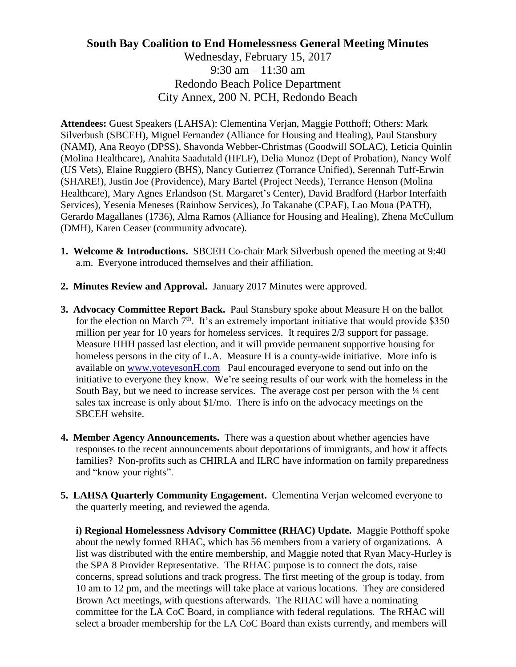## **South Bay Coalition to End Homelessness General Meeting Minutes** Wednesday, February 15, 2017 9:30 am – 11:30 am Redondo Beach Police Department City Annex, 200 N. PCH, Redondo Beach

**Attendees:** Guest Speakers (LAHSA): Clementina Verjan, Maggie Potthoff; Others: Mark Silverbush (SBCEH), Miguel Fernandez (Alliance for Housing and Healing), Paul Stansbury (NAMI), Ana Reoyo (DPSS), Shavonda Webber-Christmas (Goodwill SOLAC), Leticia Quinlin (Molina Healthcare), Anahita Saadutald (HFLF), Delia Munoz (Dept of Probation), Nancy Wolf (US Vets), Elaine Ruggiero (BHS), Nancy Gutierrez (Torrance Unified), Serennah Tuff-Erwin (SHARE!), Justin Joe (Providence), Mary Bartel (Project Needs), Terrance Henson (Molina Healthcare), Mary Agnes Erlandson (St. Margaret's Center), David Bradford (Harbor Interfaith Services), Yesenia Meneses (Rainbow Services), Jo Takanabe (CPAF), Lao Moua (PATH), Gerardo Magallanes (1736), Alma Ramos (Alliance for Housing and Healing), Zhena McCullum (DMH), Karen Ceaser (community advocate).

- **1. Welcome & Introductions.** SBCEH Co-chair Mark Silverbush opened the meeting at 9:40 a.m. Everyone introduced themselves and their affiliation.
- **2. Minutes Review and Approval.** January 2017 Minutes were approved.
- **3. Advocacy Committee Report Back.** Paul Stansbury spoke about Measure H on the ballot for the election on March  $7<sup>th</sup>$ . It's an extremely important initiative that would provide \$350 million per year for 10 years for homeless services. It requires 2/3 support for passage. Measure HHH passed last election, and it will provide permanent supportive housing for homeless persons in the city of L.A. Measure H is a county-wide initiative. More info is available on [www.voteyesonH.com](http://www.voteyesonh.com/) Paul encouraged everyone to send out info on the initiative to everyone they know. We're seeing results of our work with the homeless in the South Bay, but we need to increase services. The average cost per person with the  $\frac{1}{4}$  cent sales tax increase is only about \$1/mo. There is info on the advocacy meetings on the SBCEH website.
- **4. Member Agency Announcements.** There was a question about whether agencies have responses to the recent announcements about deportations of immigrants, and how it affects families? Non-profits such as CHIRLA and ILRC have information on family preparedness and "know your rights".
- **5. LAHSA Quarterly Community Engagement.** Clementina Verjan welcomed everyone to the quarterly meeting, and reviewed the agenda.

**i) Regional Homelessness Advisory Committee (RHAC) Update.** Maggie Potthoff spoke about the newly formed RHAC, which has 56 members from a variety of organizations. A list was distributed with the entire membership, and Maggie noted that Ryan Macy-Hurley is the SPA 8 Provider Representative. The RHAC purpose is to connect the dots, raise concerns, spread solutions and track progress. The first meeting of the group is today, from 10 am to 12 pm, and the meetings will take place at various locations. They are considered Brown Act meetings, with questions afterwards. The RHAC will have a nominating committee for the LA CoC Board, in compliance with federal regulations. The RHAC will select a broader membership for the LA CoC Board than exists currently, and members will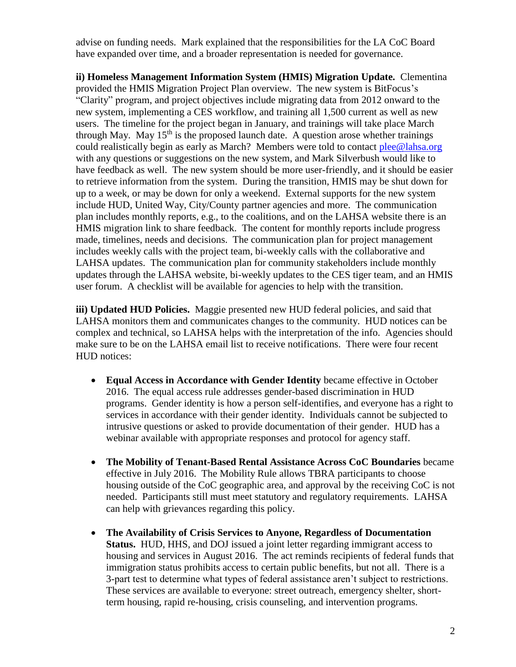advise on funding needs. Mark explained that the responsibilities for the LA CoC Board have expanded over time, and a broader representation is needed for governance.

**ii) Homeless Management Information System (HMIS) Migration Update.** Clementina provided the HMIS Migration Project Plan overview. The new system is BitFocus's "Clarity" program, and project objectives include migrating data from 2012 onward to the new system, implementing a CES workflow, and training all 1,500 current as well as new users. The timeline for the project began in January, and trainings will take place March through May. May  $15<sup>th</sup>$  is the proposed launch date. A question arose whether trainings could realistically begin as early as March? Members were told to contact [plee@lahsa.org](mailto:plee@lahsa.org) with any questions or suggestions on the new system, and Mark Silverbush would like to have feedback as well. The new system should be more user-friendly, and it should be easier to retrieve information from the system. During the transition, HMIS may be shut down for up to a week, or may be down for only a weekend. External supports for the new system include HUD, United Way, City/County partner agencies and more. The communication plan includes monthly reports, e.g., to the coalitions, and on the LAHSA website there is an HMIS migration link to share feedback. The content for monthly reports include progress made, timelines, needs and decisions. The communication plan for project management includes weekly calls with the project team, bi-weekly calls with the collaborative and LAHSA updates. The communication plan for community stakeholders include monthly updates through the LAHSA website, bi-weekly updates to the CES tiger team, and an HMIS user forum. A checklist will be available for agencies to help with the transition.

**iii) Updated HUD Policies.** Maggie presented new HUD federal policies, and said that LAHSA monitors them and communicates changes to the community. HUD notices can be complex and technical, so LAHSA helps with the interpretation of the info. Agencies should make sure to be on the LAHSA email list to receive notifications. There were four recent HUD notices:

- **Equal Access in Accordance with Gender Identity** became effective in October 2016. The equal access rule addresses gender-based discrimination in HUD programs. Gender identity is how a person self-identifies, and everyone has a right to services in accordance with their gender identity. Individuals cannot be subjected to intrusive questions or asked to provide documentation of their gender. HUD has a webinar available with appropriate responses and protocol for agency staff.
- **The Mobility of Tenant-Based Rental Assistance Across CoC Boundaries** became effective in July 2016. The Mobility Rule allows TBRA participants to choose housing outside of the CoC geographic area, and approval by the receiving CoC is not needed. Participants still must meet statutory and regulatory requirements. LAHSA can help with grievances regarding this policy.
- **The Availability of Crisis Services to Anyone, Regardless of Documentation Status.** HUD, HHS, and DOJ issued a joint letter regarding immigrant access to housing and services in August 2016. The act reminds recipients of federal funds that immigration status prohibits access to certain public benefits, but not all. There is a 3-part test to determine what types of federal assistance aren't subject to restrictions. These services are available to everyone: street outreach, emergency shelter, shortterm housing, rapid re-housing, crisis counseling, and intervention programs.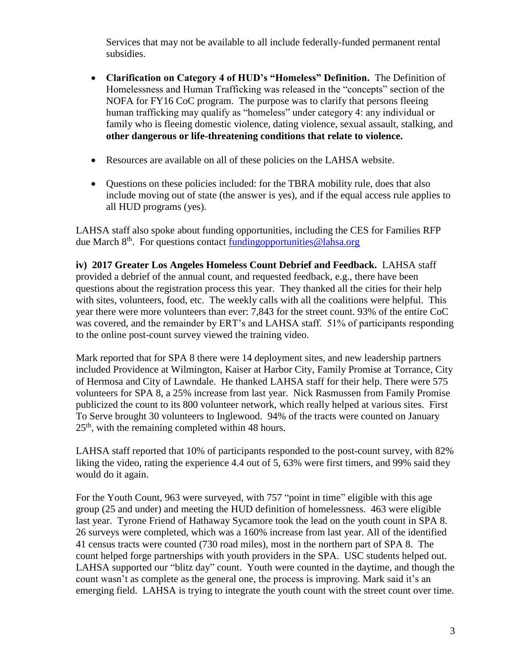Services that may not be available to all include federally-funded permanent rental subsidies.

- **Clarification on Category 4 of HUD's "Homeless" Definition.** The Definition of Homelessness and Human Trafficking was released in the "concepts" section of the NOFA for FY16 CoC program. The purpose was to clarify that persons fleeing human trafficking may qualify as "homeless" under category 4: any individual or family who is fleeing domestic violence, dating violence, sexual assault, stalking, and **other dangerous or life-threatening conditions that relate to violence.**
- Resources are available on all of these policies on the LAHSA website.
- Questions on these policies included: for the TBRA mobility rule, does that also include moving out of state (the answer is yes), and if the equal access rule applies to all HUD programs (yes).

LAHSA staff also spoke about funding opportunities, including the CES for Families RFP due March  $8<sup>th</sup>$ . For questions contact fundingopportunities @lahsa.org

**iv) 2017 Greater Los Angeles Homeless Count Debrief and Feedback.** LAHSA staff provided a debrief of the annual count, and requested feedback, e.g., there have been questions about the registration process this year. They thanked all the cities for their help with sites, volunteers, food, etc. The weekly calls with all the coalitions were helpful. This year there were more volunteers than ever: 7,843 for the street count. 93% of the entire CoC was covered, and the remainder by ERT's and LAHSA staff. 51% of participants responding to the online post-count survey viewed the training video.

Mark reported that for SPA 8 there were 14 deployment sites, and new leadership partners included Providence at Wilmington, Kaiser at Harbor City, Family Promise at Torrance, City of Hermosa and City of Lawndale. He thanked LAHSA staff for their help. There were 575 volunteers for SPA 8, a 25% increase from last year. Nick Rasmussen from Family Promise publicized the count to its 800 volunteer network, which really helped at various sites. First To Serve brought 30 volunteers to Inglewood. 94% of the tracts were counted on January  $25<sup>th</sup>$ , with the remaining completed within 48 hours.

LAHSA staff reported that 10% of participants responded to the post-count survey, with 82% liking the video, rating the experience 4.4 out of 5, 63% were first timers, and 99% said they would do it again.

For the Youth Count, 963 were surveyed, with 757 "point in time" eligible with this age group (25 and under) and meeting the HUD definition of homelessness. 463 were eligible last year. Tyrone Friend of Hathaway Sycamore took the lead on the youth count in SPA 8. 26 surveys were completed, which was a 160% increase from last year. All of the identified 41 census tracts were counted (730 road miles), most in the northern part of SPA 8. The count helped forge partnerships with youth providers in the SPA. USC students helped out. LAHSA supported our "blitz day" count. Youth were counted in the daytime, and though the count wasn't as complete as the general one, the process is improving. Mark said it's an emerging field. LAHSA is trying to integrate the youth count with the street count over time.